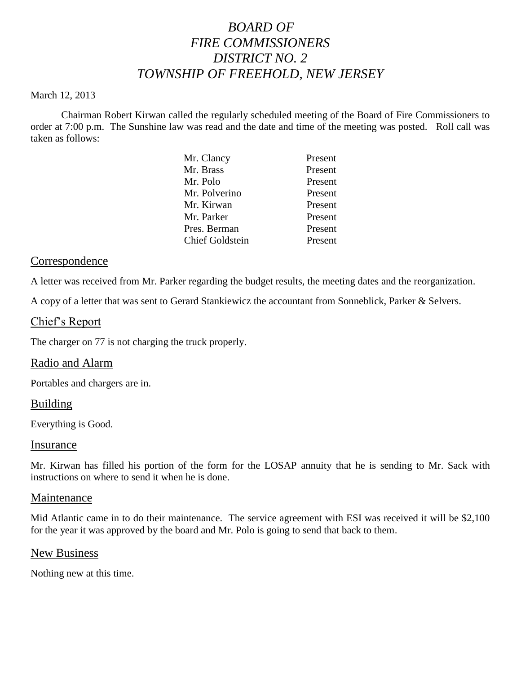# *BOARD OF FIRE COMMISSIONERS DISTRICT NO. 2 TOWNSHIP OF FREEHOLD, NEW JERSEY*

#### March 12, 2013

Chairman Robert Kirwan called the regularly scheduled meeting of the Board of Fire Commissioners to order at 7:00 p.m. The Sunshine law was read and the date and time of the meeting was posted. Roll call was taken as follows:

|  | Mr. Clancy             | Present |
|--|------------------------|---------|
|  | Mr. Brass              | Present |
|  | Mr. Polo               | Present |
|  | Mr. Polverino          | Present |
|  | Mr. Kirwan             | Present |
|  | Mr. Parker             | Present |
|  | Pres. Berman           | Present |
|  | <b>Chief Goldstein</b> | Present |
|  |                        |         |

#### **Correspondence**

A letter was received from Mr. Parker regarding the budget results, the meeting dates and the reorganization.

A copy of a letter that was sent to Gerard Stankiewicz the accountant from Sonneblick, Parker & Selvers.

### Chief's Report

The charger on 77 is not charging the truck properly.

#### Radio and Alarm

Portables and chargers are in.

#### Building

Everything is Good.

#### Insurance

Mr. Kirwan has filled his portion of the form for the LOSAP annuity that he is sending to Mr. Sack with instructions on where to send it when he is done.

#### Maintenance

Mid Atlantic came in to do their maintenance. The service agreement with ESI was received it will be \$2,100 for the year it was approved by the board and Mr. Polo is going to send that back to them.

#### New Business

Nothing new at this time.